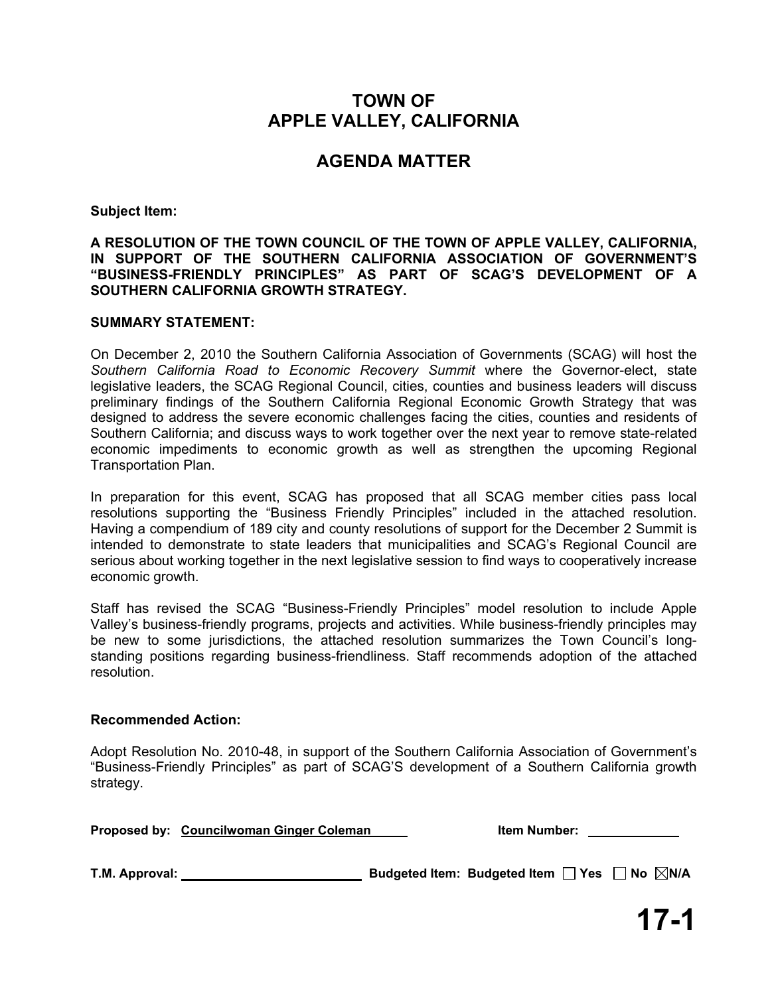# **TOWN OF APPLE VALLEY, CALIFORNIA**

# **AGENDA MATTER**

**Subject Item:** 

**A RESOLUTION OF THE TOWN COUNCIL OF THE TOWN OF APPLE VALLEY, CALIFORNIA, IN SUPPORT OF THE SOUTHERN CALIFORNIA ASSOCIATION OF GOVERNMENT'S "BUSINESS-FRIENDLY PRINCIPLES" AS PART OF SCAG'S DEVELOPMENT OF A SOUTHERN CALIFORNIA GROWTH STRATEGY.** 

### **SUMMARY STATEMENT:**

On December 2, 2010 the Southern California Association of Governments (SCAG) will host the *Southern California Road to Economic Recovery Summit* where the Governor-elect, state legislative leaders, the SCAG Regional Council, cities, counties and business leaders will discuss preliminary findings of the Southern California Regional Economic Growth Strategy that was designed to address the severe economic challenges facing the cities, counties and residents of Southern California; and discuss ways to work together over the next year to remove state-related economic impediments to economic growth as well as strengthen the upcoming Regional Transportation Plan.

In preparation for this event, SCAG has proposed that all SCAG member cities pass local resolutions supporting the "Business Friendly Principles" included in the attached resolution. Having a compendium of 189 city and county resolutions of support for the December 2 Summit is intended to demonstrate to state leaders that municipalities and SCAG's Regional Council are serious about working together in the next legislative session to find ways to cooperatively increase economic growth.

Staff has revised the SCAG "Business-Friendly Principles" model resolution to include Apple Valley's business-friendly programs, projects and activities. While business-friendly principles may be new to some jurisdictions, the attached resolution summarizes the Town Council's longstanding positions regarding business-friendliness. Staff recommends adoption of the attached resolution.

### **Recommended Action:**

Adopt Resolution No. 2010-48, in support of the Southern California Association of Government's "Business-Friendly Principles" as part of SCAG'S development of a Southern California growth strategy.

**Proposed by:** Councilwoman Ginger Coleman Item Number: 1997

**T.M. Approval: Budgeted Item: Budgeted Item Yes No N/A**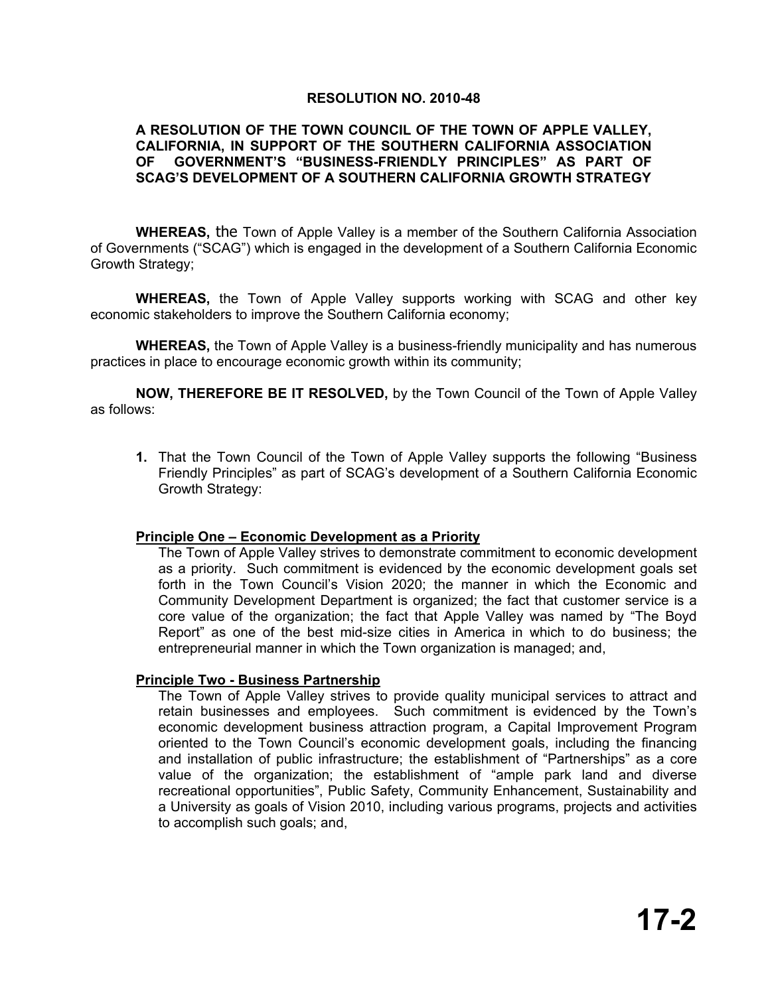## **RESOLUTION NO. 2010-48**

## **A RESOLUTION OF THE TOWN COUNCIL OF THE TOWN OF APPLE VALLEY, CALIFORNIA, IN SUPPORT OF THE SOUTHERN CALIFORNIA ASSOCIATION OF GOVERNMENT'S "BUSINESS-FRIENDLY PRINCIPLES" AS PART OF SCAG'S DEVELOPMENT OF A SOUTHERN CALIFORNIA GROWTH STRATEGY**

**WHEREAS,** the Town of Apple Valley is a member of the Southern California Association of Governments ("SCAG") which is engaged in the development of a Southern California Economic Growth Strategy;

**WHEREAS,** the Town of Apple Valley supports working with SCAG and other key economic stakeholders to improve the Southern California economy;

**WHEREAS,** the Town of Apple Valley is a business-friendly municipality and has numerous practices in place to encourage economic growth within its community;

**NOW, THEREFORE BE IT RESOLVED,** by the Town Council of the Town of Apple Valley as follows:

**1.** That the Town Council of the Town of Apple Valley supports the following "Business Friendly Principles" as part of SCAG's development of a Southern California Economic Growth Strategy:

### **Principle One – Economic Development as a Priority**

The Town of Apple Valley strives to demonstrate commitment to economic development as a priority. Such commitment is evidenced by the economic development goals set forth in the Town Council's Vision 2020; the manner in which the Economic and Community Development Department is organized; the fact that customer service is a core value of the organization; the fact that Apple Valley was named by "The Boyd Report" as one of the best mid-size cities in America in which to do business; the entrepreneurial manner in which the Town organization is managed; and,

### **Principle Two - Business Partnership**

The Town of Apple Valley strives to provide quality municipal services to attract and retain businesses and employees. Such commitment is evidenced by the Town's economic development business attraction program, a Capital Improvement Program oriented to the Town Council's economic development goals, including the financing and installation of public infrastructure; the establishment of "Partnerships" as a core value of the organization; the establishment of "ample park land and diverse recreational opportunities", Public Safety, Community Enhancement, Sustainability and a University as goals of Vision 2010, including various programs, projects and activities to accomplish such goals; and,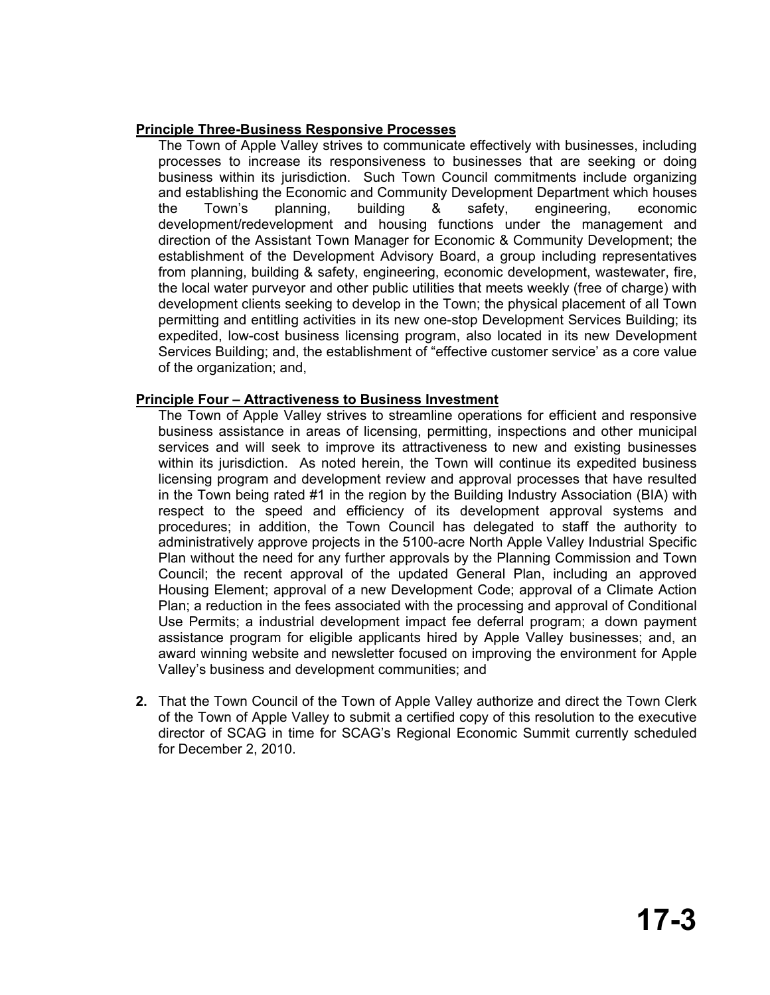# **Principle Three-Business Responsive Processes**

The Town of Apple Valley strives to communicate effectively with businesses, including processes to increase its responsiveness to businesses that are seeking or doing business within its jurisdiction. Such Town Council commitments include organizing and establishing the Economic and Community Development Department which houses the Town's planning, building & safety, engineering, economic development/redevelopment and housing functions under the management and direction of the Assistant Town Manager for Economic & Community Development; the establishment of the Development Advisory Board, a group including representatives from planning, building & safety, engineering, economic development, wastewater, fire, the local water purveyor and other public utilities that meets weekly (free of charge) with development clients seeking to develop in the Town; the physical placement of all Town permitting and entitling activities in its new one-stop Development Services Building; its expedited, low-cost business licensing program, also located in its new Development Services Building; and, the establishment of "effective customer service' as a core value of the organization; and,

# **Principle Four – Attractiveness to Business Investment**

The Town of Apple Valley strives to streamline operations for efficient and responsive business assistance in areas of licensing, permitting, inspections and other municipal services and will seek to improve its attractiveness to new and existing businesses within its jurisdiction. As noted herein, the Town will continue its expedited business licensing program and development review and approval processes that have resulted in the Town being rated #1 in the region by the Building Industry Association (BIA) with respect to the speed and efficiency of its development approval systems and procedures; in addition, the Town Council has delegated to staff the authority to administratively approve projects in the 5100-acre North Apple Valley Industrial Specific Plan without the need for any further approvals by the Planning Commission and Town Council; the recent approval of the updated General Plan, including an approved Housing Element; approval of a new Development Code; approval of a Climate Action Plan; a reduction in the fees associated with the processing and approval of Conditional Use Permits; a industrial development impact fee deferral program; a down payment assistance program for eligible applicants hired by Apple Valley businesses; and, an award winning website and newsletter focused on improving the environment for Apple Valley's business and development communities; and

**2.** That the Town Council of the Town of Apple Valley authorize and direct the Town Clerk of the Town of Apple Valley to submit a certified copy of this resolution to the executive director of SCAG in time for SCAG's Regional Economic Summit currently scheduled for December 2, 2010.